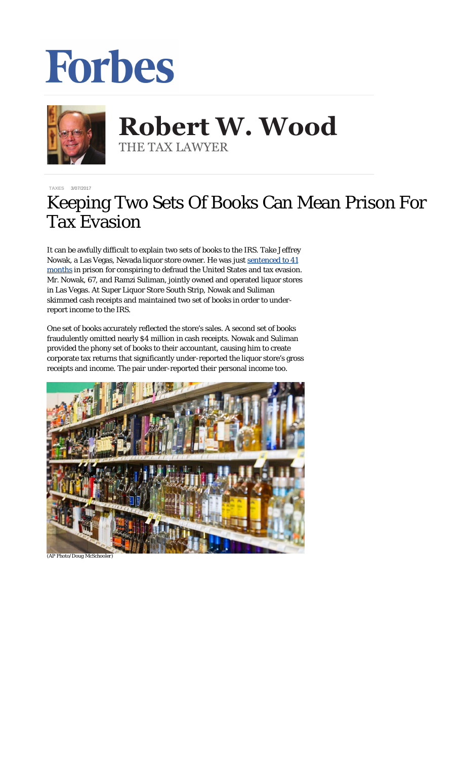## **Forbes**



**Robert W. Wood Robert W. Wood** THE TAX LAWYER THE TAX LAWYER

**[TAXES](https://www.forbes.com/taxes)** 3/07/2017

## Keeping Two Sets Of Books Can Mean Prison For Tax Evasion

It can be awfully difficult to explain two sets of books to the IRS. Take Jeffrey Nowak, a Las Vegas, Nevada liquor store owner. He was just [sentenced to 41](https://www.justice.gov/opa/pr/nevada-liquor-store-owner-sentenced-prison-conspiring-defraud-united-states-and-tax-evasion) [months](https://www.justice.gov/opa/pr/nevada-liquor-store-owner-sentenced-prison-conspiring-defraud-united-states-and-tax-evasion) in prison for conspiring to defraud the United States and tax evasion. Mr. Nowak, 67, and Ramzi Suliman, jointly owned and operated liquor stores in Las Vegas. At Super Liquor Store South Strip, Nowak and Suliman skimmed cash receipts and maintained two set of books in order to underreport income to the IRS.

One set of books accurately reflected the store's sales. A second set of books fraudulently omitted nearly \$4 million in cash receipts. Nowak and Suliman provided the phony set of books to their accountant, causing him to create corporate tax returns that significantly under-reported the liquor store's gross receipts and income. The pair under-reported their personal income too.



*(AP Photo/Doug McSchooler)*